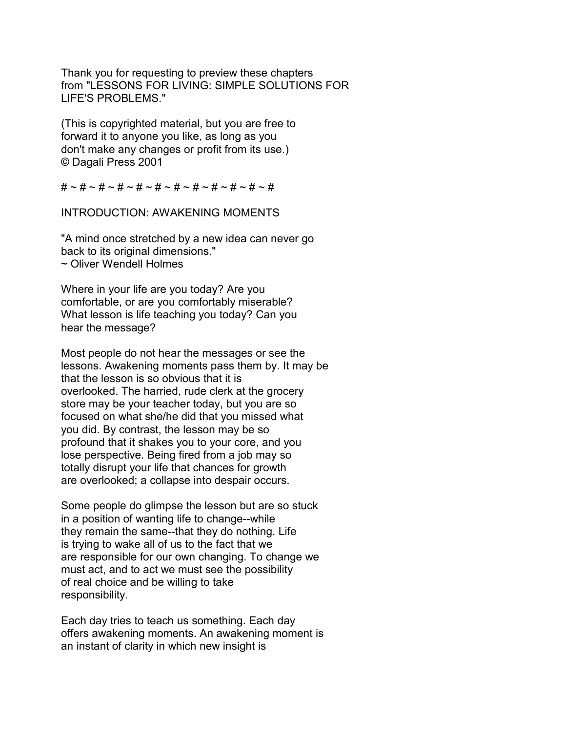Thank you for requesting to preview these chapters from "LESSONS FOR LIVING: SIMPLE SOLUTIONS FOR LIFE'S PROBLEMS."

(This is copyrighted material, but you are free to forward it to anyone you like, as long as you don't make any changes or profit from its use.) © Dagali Press 2001

# ~ # ~ # ~ # ~ # ~ # ~ # ~ # ~ # ~ # ~ # ~ #

INTRODUCTION: AWAKENING MOMENTS

"A mind once stretched by a new idea can never go back to its original dimensions." ~ Oliver Wendell Holmes

Where in your life are you today? Are you comfortable, or are you comfortably miserable? What lesson is life teaching you today? Can you hear the message?

Most people do not hear the messages or see the lessons. Awakening moments pass them by. It may be that the lesson is so obvious that it is overlooked. The harried, rude clerk at the grocery store may be your teacher today, but you are so focused on what she/he did that you missed what you did. By contrast, the lesson may be so profound that it shakes you to your core, and you lose perspective. Being fired from a job may so totally disrupt your life that chances for growth are overlooked; a collapse into despair occurs.

Some people do glimpse the lesson but are so stuck in a position of wanting life to change--while they remain the same--that they do nothing. Life is trying to wake all of us to the fact that we are responsible for our own changing. To change we must act, and to act we must see the possibility of real choice and be willing to take responsibility.

Each day tries to teach us something. Each day offers awakening moments. An awakening moment is an instant of clarity in which new insight is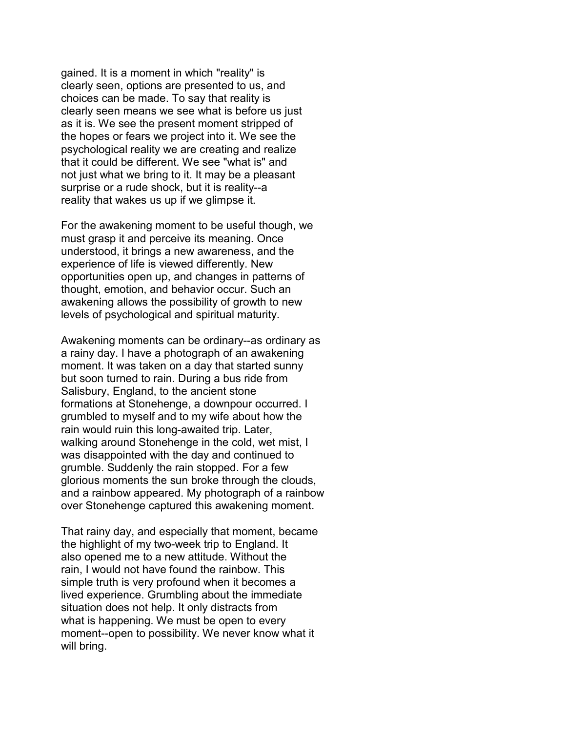gained. It is a moment in which "reality" is clearly seen, options are presented to us, and choices can be made. To say that reality is clearly seen means we see what is before us just as it is. We see the present moment stripped of the hopes or fears we project into it. We see the psychological reality we are creating and realize that it could be different. We see "what is" and not just what we bring to it. It may be a pleasant surprise or a rude shock, but it is reality--a reality that wakes us up if we glimpse it.

For the awakening moment to be useful though, we must grasp it and perceive its meaning. Once understood, it brings a new awareness, and the experience of life is viewed differently. New opportunities open up, and changes in patterns of thought, emotion, and behavior occur. Such an awakening allows the possibility of growth to new levels of psychological and spiritual maturity.

Awakening moments can be ordinary--as ordinary as a rainy day. I have a photograph of an awakening moment. It was taken on a day that started sunny but soon turned to rain. During a bus ride from Salisbury, England, to the ancient stone formations at Stonehenge, a downpour occurred. I grumbled to myself and to my wife about how the rain would ruin this long-awaited trip. Later, walking around Stonehenge in the cold, wet mist, I was disappointed with the day and continued to grumble. Suddenly the rain stopped. For a few glorious moments the sun broke through the clouds, and a rainbow appeared. My photograph of a rainbow over Stonehenge captured this awakening moment.

That rainy day, and especially that moment, became the highlight of my two-week trip to England. It also opened me to a new attitude. Without the rain, I would not have found the rainbow. This simple truth is very profound when it becomes a lived experience. Grumbling about the immediate situation does not help. It only distracts from what is happening. We must be open to every moment--open to possibility. We never know what it will bring.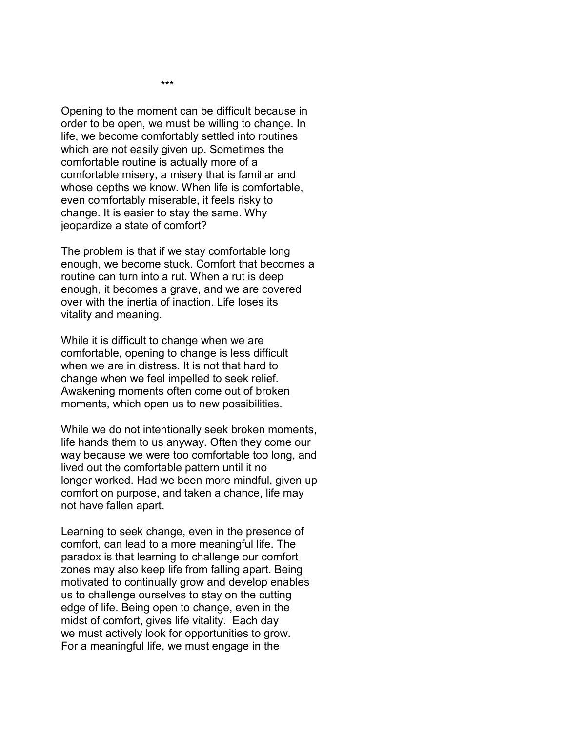Opening to the moment can be difficult because in order to be open, we must be willing to change. In life, we become comfortably settled into routines which are not easily given up. Sometimes the comfortable routine is actually more of a comfortable misery, a misery that is familiar and whose depths we know. When life is comfortable, even comfortably miserable, it feels risky to change. It is easier to stay the same. Why jeopardize a state of comfort?

The problem is that if we stay comfortable long enough, we become stuck. Comfort that becomes a routine can turn into a rut. When a rut is deep enough, it becomes a grave, and we are covered over with the inertia of inaction. Life loses its vitality and meaning.

While it is difficult to change when we are comfortable, opening to change is less difficult when we are in distress. It is not that hard to change when we feel impelled to seek relief. Awakening moments often come out of broken moments, which open us to new possibilities.

While we do not intentionally seek broken moments, life hands them to us anyway. Often they come our way because we were too comfortable too long, and lived out the comfortable pattern until it no longer worked. Had we been more mindful, given up comfort on purpose, and taken a chance, life may not have fallen apart.

Learning to seek change, even in the presence of comfort, can lead to a more meaningful life. The paradox is that learning to challenge our comfort zones may also keep life from falling apart. Being motivated to continually grow and develop enables us to challenge ourselves to stay on the cutting edge of life. Being open to change, even in the midst of comfort, gives life vitality. Each day we must actively look for opportunities to grow. For a meaningful life, we must engage in the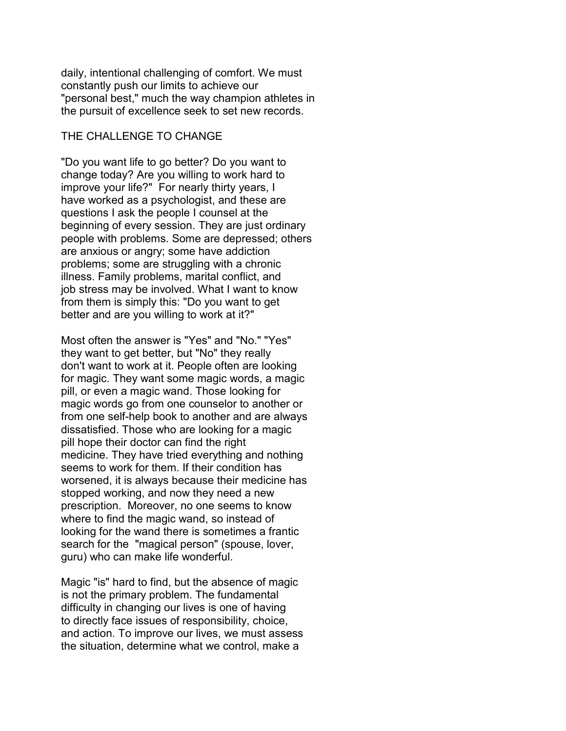daily, intentional challenging of comfort. We must constantly push our limits to achieve our "personal best," much the way champion athletes in the pursuit of excellence seek to set new records.

## THE CHALLENGE TO CHANGE

"Do you want life to go better? Do you want to change today? Are you willing to work hard to improve your life?" For nearly thirty years, I have worked as a psychologist, and these are questions I ask the people I counsel at the beginning of every session. They are just ordinary people with problems. Some are depressed; others are anxious or angry; some have addiction problems; some are struggling with a chronic illness. Family problems, marital conflict, and job stress may be involved. What I want to know from them is simply this: "Do you want to get better and are you willing to work at it?"

Most often the answer is "Yes" and "No." "Yes" they want to get better, but "No" they really don't want to work at it. People often are looking for magic. They want some magic words, a magic pill, or even a magic wand. Those looking for magic words go from one counselor to another or from one self-help book to another and are always dissatisfied. Those who are looking for a magic pill hope their doctor can find the right medicine. They have tried everything and nothing seems to work for them. If their condition has worsened, it is always because their medicine has stopped working, and now they need a new prescription. Moreover, no one seems to know where to find the magic wand, so instead of looking for the wand there is sometimes a frantic search for the "magical person" (spouse, lover, guru) who can make life wonderful.

Magic "is" hard to find, but the absence of magic is not the primary problem. The fundamental difficulty in changing our lives is one of having to directly face issues of responsibility, choice, and action. To improve our lives, we must assess the situation, determine what we control, make a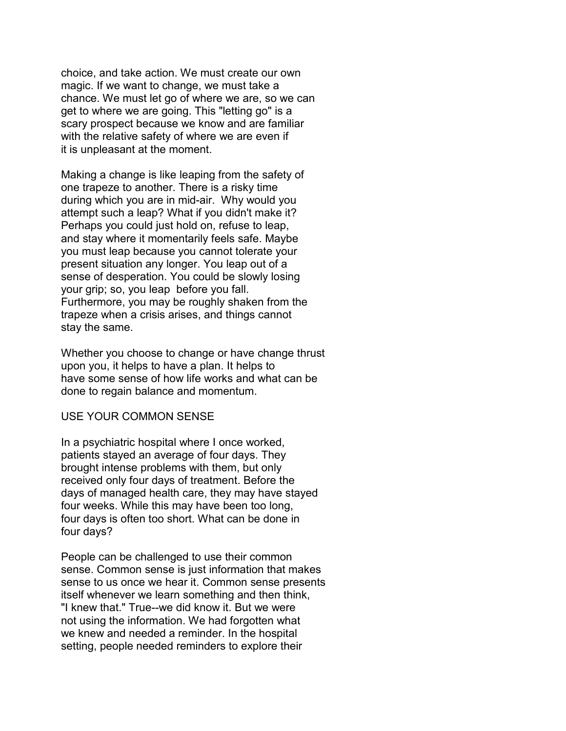choice, and take action. We must create our own magic. If we want to change, we must take a chance. We must let go of where we are, so we can get to where we are going. This "letting go" is a scary prospect because we know and are familiar with the relative safety of where we are even if it is unpleasant at the moment.

Making a change is like leaping from the safety of one trapeze to another. There is a risky time during which you are in mid-air. Why would you attempt such a leap? What if you didn't make it? Perhaps you could just hold on, refuse to leap, and stay where it momentarily feels safe. Maybe you must leap because you cannot tolerate your present situation any longer. You leap out of a sense of desperation. You could be slowly losing your grip; so, you leap before you fall. Furthermore, you may be roughly shaken from the trapeze when a crisis arises, and things cannot stay the same.

Whether you choose to change or have change thrust upon you, it helps to have a plan. It helps to have some sense of how life works and what can be done to regain balance and momentum.

#### USE YOUR COMMON SENSE

In a psychiatric hospital where I once worked, patients stayed an average of four days. They brought intense problems with them, but only received only four days of treatment. Before the days of managed health care, they may have stayed four weeks. While this may have been too long, four days is often too short. What can be done in four days?

People can be challenged to use their common sense. Common sense is just information that makes sense to us once we hear it. Common sense presents itself whenever we learn something and then think, "I knew that." True--we did know it. But we were not using the information. We had forgotten what we knew and needed a reminder. In the hospital setting, people needed reminders to explore their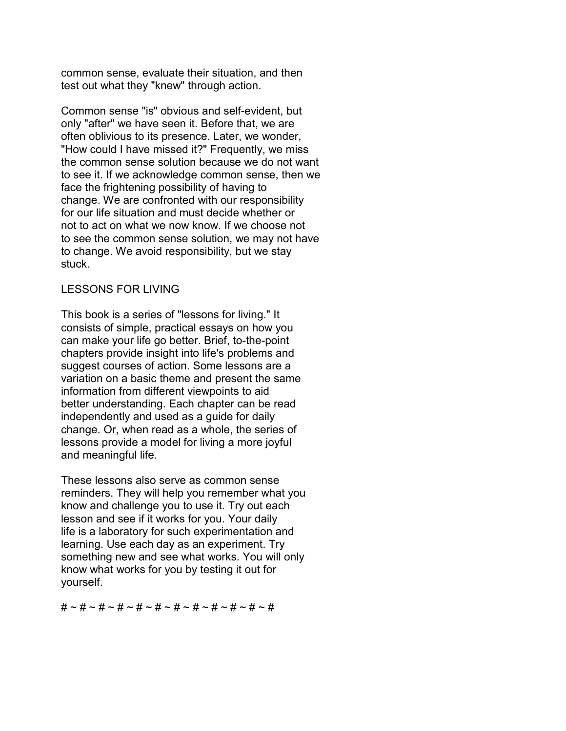common sense, evaluate their situation, and then test out what they "knew" through action.

Common sense "is" obvious and self-evident, but only "after" we have seen it. Before that, we are often oblivious to its presence. Later, we wonder, "How could I have missed it?" Frequently, we miss the common sense solution because we do not want to see it. If we acknowledge common sense, then we face the frightening possibility of having to change. We are confronted with our responsibility for our life situation and must decide whether or not to act on what we now know. If we choose not to see the common sense solution, we may not have to change. We avoid responsibility, but we stay stuck.

## LESSONS FOR LIVING

This book is a series of "lessons for living." It consists of simple, practical essays on how you can make your life go better. Brief, to-the-point chapters provide insight into life's problems and suggest courses of action. Some lessons are a variation on a basic theme and present the same information from different viewpoints to aid better understanding. Each chapter can be read independently and used as a guide for daily change. Or, when read as a whole, the series of lessons provide a model for living a more joyful and meaningful life.

These lessons also serve as common sense reminders. They will help you remember what you know and challenge you to use it. Try out each lesson and see if it works for you. Your daily life is a laboratory for such experimentation and learning. Use each day as an experiment. Try something new and see what works. You will only know what works for you by testing it out for yourself.

# ~ # ~ # ~ # ~ # ~ # ~ # ~ # ~ # ~ # ~ # ~ #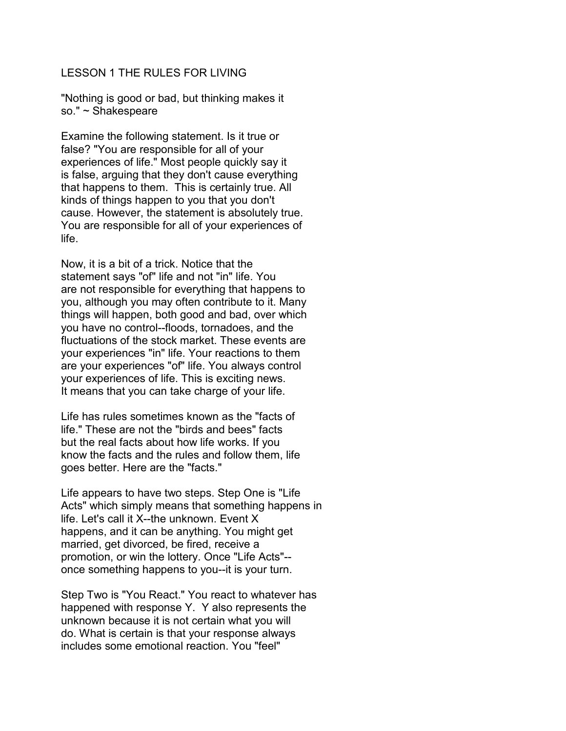## LESSON 1 THE RULES FOR LIVING

"Nothing is good or bad, but thinking makes it so." ~ Shakespeare

Examine the following statement. Is it true or false? "You are responsible for all of your experiences of life." Most people quickly say it is false, arguing that they don't cause everything that happens to them. This is certainly true. All kinds of things happen to you that you don't cause. However, the statement is absolutely true. You are responsible for all of your experiences of life.

Now, it is a bit of a trick. Notice that the statement says "of" life and not "in" life. You are not responsible for everything that happens to you, although you may often contribute to it. Many things will happen, both good and bad, over which you have no control--floods, tornadoes, and the fluctuations of the stock market. These events are your experiences "in" life. Your reactions to them are your experiences "of" life. You always control your experiences of life. This is exciting news. It means that you can take charge of your life.

Life has rules sometimes known as the "facts of life." These are not the "birds and bees" facts but the real facts about how life works. If you know the facts and the rules and follow them, life goes better. Here are the "facts."

Life appears to have two steps. Step One is "Life Acts" which simply means that something happens in life. Let's call it X--the unknown. Event X happens, and it can be anything. You might get married, get divorced, be fired, receive a promotion, or win the lottery. Once "Life Acts"- once something happens to you--it is your turn.

Step Two is "You React." You react to whatever has happened with response Y. Y also represents the unknown because it is not certain what you will do. What is certain is that your response always includes some emotional reaction. You "feel"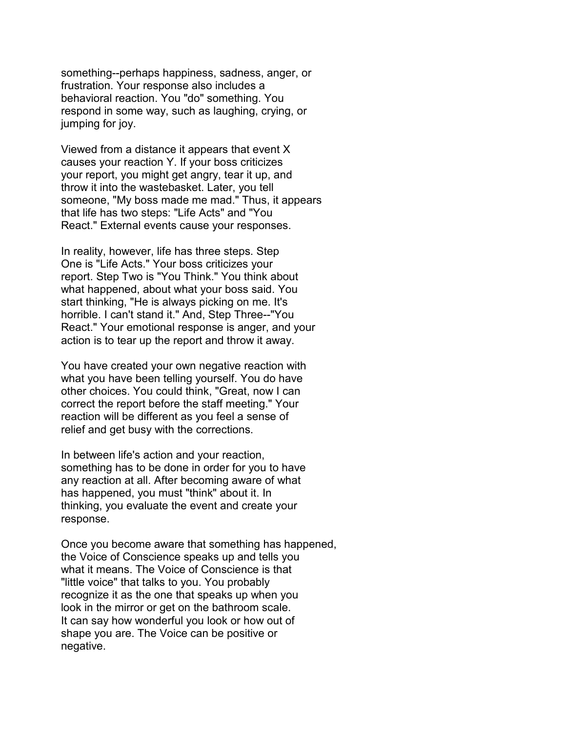something--perhaps happiness, sadness, anger, or frustration. Your response also includes a behavioral reaction. You "do" something. You respond in some way, such as laughing, crying, or jumping for joy.

Viewed from a distance it appears that event X causes your reaction Y. If your boss criticizes your report, you might get angry, tear it up, and throw it into the wastebasket. Later, you tell someone, "My boss made me mad." Thus, it appears that life has two steps: "Life Acts" and "You React." External events cause your responses.

In reality, however, life has three steps. Step One is "Life Acts." Your boss criticizes your report. Step Two is "You Think." You think about what happened, about what your boss said. You start thinking, "He is always picking on me. It's horrible. I can't stand it." And, Step Three--"You React." Your emotional response is anger, and your action is to tear up the report and throw it away.

You have created your own negative reaction with what you have been telling yourself. You do have other choices. You could think, "Great, now I can correct the report before the staff meeting." Your reaction will be different as you feel a sense of relief and get busy with the corrections.

In between life's action and your reaction, something has to be done in order for you to have any reaction at all. After becoming aware of what has happened, you must "think" about it. In thinking, you evaluate the event and create your response.

Once you become aware that something has happened, the Voice of Conscience speaks up and tells you what it means. The Voice of Conscience is that "little voice" that talks to you. You probably recognize it as the one that speaks up when you look in the mirror or get on the bathroom scale. It can say how wonderful you look or how out of shape you are. The Voice can be positive or negative.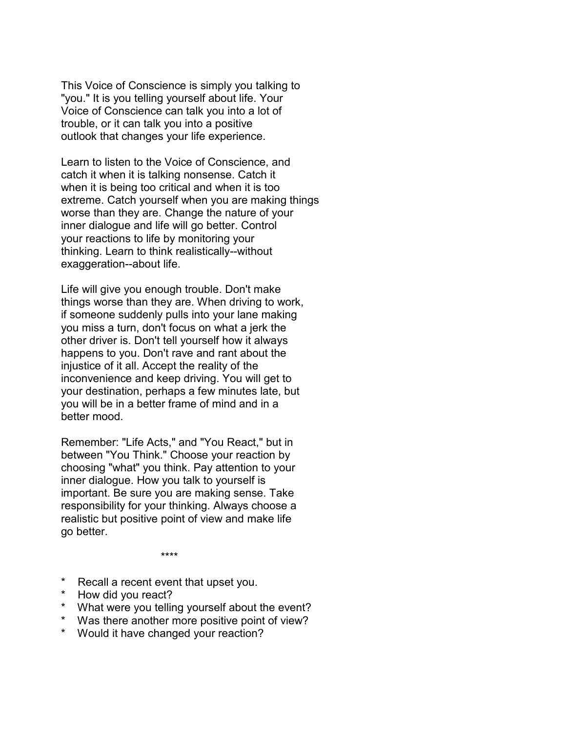This Voice of Conscience is simply you talking to "you." It is you telling yourself about life. Your Voice of Conscience can talk you into a lot of trouble, or it can talk you into a positive outlook that changes your life experience.

Learn to listen to the Voice of Conscience, and catch it when it is talking nonsense. Catch it when it is being too critical and when it is too extreme. Catch yourself when you are making things worse than they are. Change the nature of your inner dialogue and life will go better. Control your reactions to life by monitoring your thinking. Learn to think realistically--without exaggeration--about life.

Life will give you enough trouble. Don't make things worse than they are. When driving to work, if someone suddenly pulls into your lane making you miss a turn, don't focus on what a jerk the other driver is. Don't tell yourself how it always happens to you. Don't rave and rant about the injustice of it all. Accept the reality of the inconvenience and keep driving. You will get to your destination, perhaps a few minutes late, but you will be in a better frame of mind and in a better mood.

Remember: "Life Acts," and "You React," but in between "You Think." Choose your reaction by choosing "what" you think. Pay attention to your inner dialogue. How you talk to yourself is important. Be sure you are making sense. Take responsibility for your thinking. Always choose a realistic but positive point of view and make life go better.

\*\*\*\*

- Recall a recent event that upset you.
- \* How did you react?
- \* What were you telling yourself about the event?
- \* Was there another more positive point of view?
- \* Would it have changed your reaction?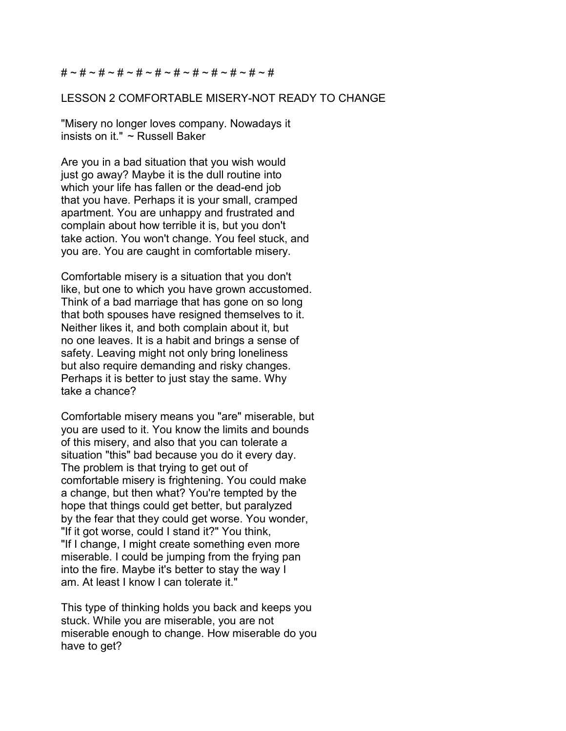#### # ~ # ~ # ~ # ~ # ~ # ~ # ~ # ~ # ~ # ~ # ~ #

## LESSON 2 COMFORTABLE MISERY-NOT READY TO CHANGE

"Misery no longer loves company. Nowadays it insists on it." ~ Russell Baker

Are you in a bad situation that you wish would just go away? Maybe it is the dull routine into which your life has fallen or the dead-end job that you have. Perhaps it is your small, cramped apartment. You are unhappy and frustrated and complain about how terrible it is, but you don't take action. You won't change. You feel stuck, and you are. You are caught in comfortable misery.

Comfortable misery is a situation that you don't like, but one to which you have grown accustomed. Think of a bad marriage that has gone on so long that both spouses have resigned themselves to it. Neither likes it, and both complain about it, but no one leaves. It is a habit and brings a sense of safety. Leaving might not only bring loneliness but also require demanding and risky changes. Perhaps it is better to just stay the same. Why take a chance?

Comfortable misery means you "are" miserable, but you are used to it. You know the limits and bounds of this misery, and also that you can tolerate a situation "this" bad because you do it every day. The problem is that trying to get out of comfortable misery is frightening. You could make a change, but then what? You're tempted by the hope that things could get better, but paralyzed by the fear that they could get worse. You wonder, "If it got worse, could I stand it?" You think, "If I change, I might create something even more miserable. I could be jumping from the frying pan into the fire. Maybe it's better to stay the way I am. At least I know I can tolerate it."

This type of thinking holds you back and keeps you stuck. While you are miserable, you are not miserable enough to change. How miserable do you have to get?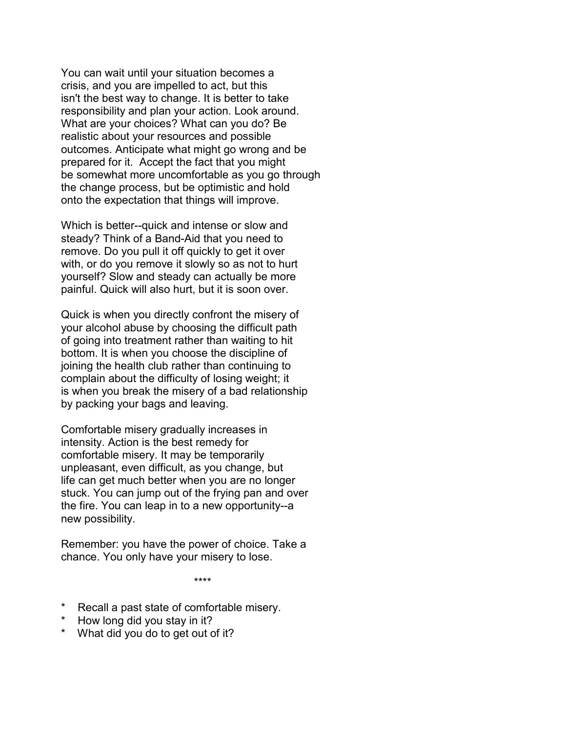You can wait until your situation becomes a crisis, and you are impelled to act, but this isn't the best way to change. It is better to take responsibility and plan your action. Look around. What are your choices? What can you do? Be realistic about your resources and possible outcomes. Anticipate what might go wrong and be prepared for it. Accept the fact that you might be somewhat more uncomfortable as you go through the change process, but be optimistic and hold onto the expectation that things will improve.

Which is better--quick and intense or slow and steady? Think of a Band-Aid that you need to remove. Do you pull it off quickly to get it over with, or do you remove it slowly so as not to hurt yourself? Slow and steady can actually be more painful. Quick will also hurt, but it is soon over.

Quick is when you directly confront the misery of your alcohol abuse by choosing the difficult path of going into treatment rather than waiting to hit bottom. It is when you choose the discipline of joining the health club rather than continuing to complain about the difficulty of losing weight; it is when you break the misery of a bad relationship by packing your bags and leaving.

Comfortable misery gradually increases in intensity. Action is the best remedy for comfortable misery. It may be temporarily unpleasant, even difficult, as you change, but life can get much better when you are no longer stuck. You can jump out of the frying pan and over the fire. You can leap in to a new opportunity--a new possibility.

Remember: you have the power of choice. Take a chance. You only have your misery to lose.

\*\*\*\*

- \* Recall a past state of comfortable misery.
- How long did you stay in it?
- \* What did you do to get out of it?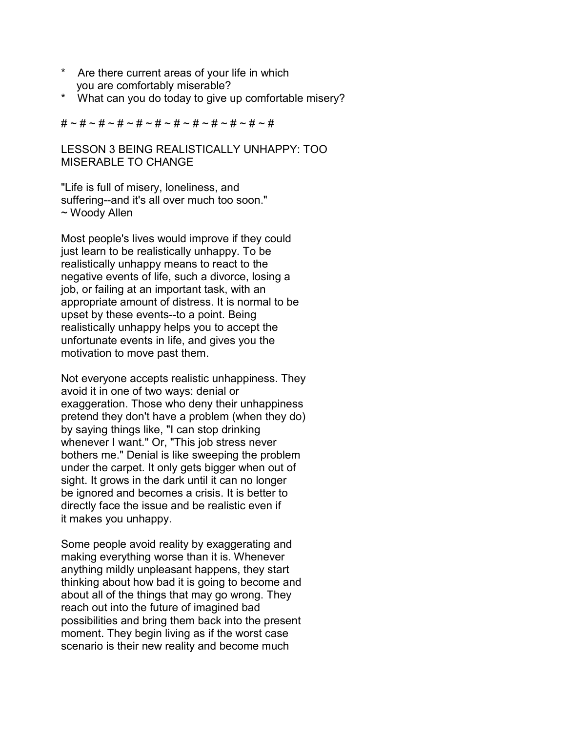- \* Are there current areas of your life in which you are comfortably miserable?
- \* What can you do today to give up comfortable misery?

## # ~ # ~ # ~ # ~ # ~ # ~ # ~ # ~ # ~ # ~ # ~ #

# LESSON 3 BEING REALISTICALLY UNHAPPY: TOO MISERABLE TO CHANGE

"Life is full of misery, loneliness, and suffering--and it's all over much too soon." ~ Woody Allen

Most people's lives would improve if they could just learn to be realistically unhappy. To be realistically unhappy means to react to the negative events of life, such a divorce, losing a job, or failing at an important task, with an appropriate amount of distress. It is normal to be upset by these events--to a point. Being realistically unhappy helps you to accept the unfortunate events in life, and gives you the motivation to move past them.

Not everyone accepts realistic unhappiness. They avoid it in one of two ways: denial or exaggeration. Those who deny their unhappiness pretend they don't have a problem (when they do) by saying things like, "I can stop drinking whenever I want." Or, "This job stress never bothers me." Denial is like sweeping the problem under the carpet. It only gets bigger when out of sight. It grows in the dark until it can no longer be ignored and becomes a crisis. It is better to directly face the issue and be realistic even if it makes you unhappy.

Some people avoid reality by exaggerating and making everything worse than it is. Whenever anything mildly unpleasant happens, they start thinking about how bad it is going to become and about all of the things that may go wrong. They reach out into the future of imagined bad possibilities and bring them back into the present moment. They begin living as if the worst case scenario is their new reality and become much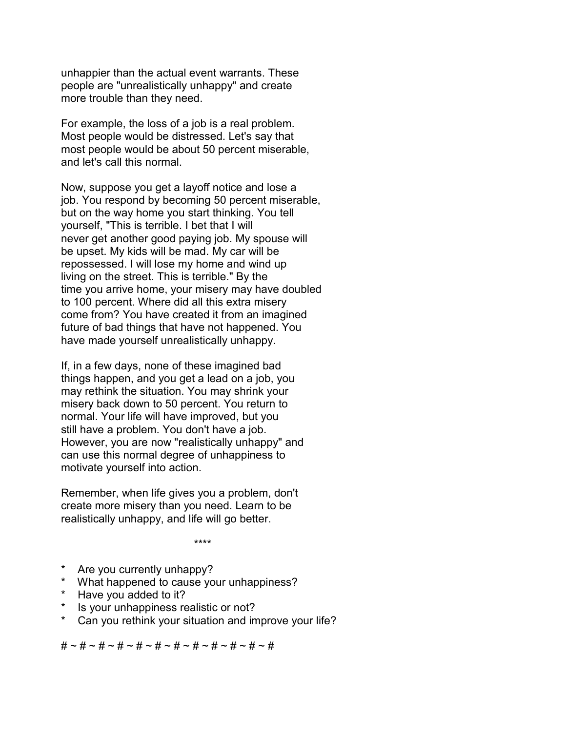unhappier than the actual event warrants. These people are "unrealistically unhappy" and create more trouble than they need.

For example, the loss of a job is a real problem. Most people would be distressed. Let's say that most people would be about 50 percent miserable, and let's call this normal.

Now, suppose you get a layoff notice and lose a job. You respond by becoming 50 percent miserable, but on the way home you start thinking. You tell yourself, "This is terrible. I bet that I will never get another good paying job. My spouse will be upset. My kids will be mad. My car will be repossessed. I will lose my home and wind up living on the street. This is terrible." By the time you arrive home, your misery may have doubled to 100 percent. Where did all this extra misery come from? You have created it from an imagined future of bad things that have not happened. You have made yourself unrealistically unhappy.

If, in a few days, none of these imagined bad things happen, and you get a lead on a job, you may rethink the situation. You may shrink your misery back down to 50 percent. You return to normal. Your life will have improved, but you still have a problem. You don't have a job. However, you are now "realistically unhappy" and can use this normal degree of unhappiness to motivate yourself into action.

Remember, when life gives you a problem, don't create more misery than you need. Learn to be realistically unhappy, and life will go better.

\*\*\*\*

- \* Are you currently unhappy?
- \* What happened to cause your unhappiness?
- \* Have you added to it?
- Is your unhappiness realistic or not?
- Can you rethink your situation and improve your life?

# ~ # ~ # ~ # ~ # ~ # ~ # ~ # ~ # ~ # ~ # ~ #